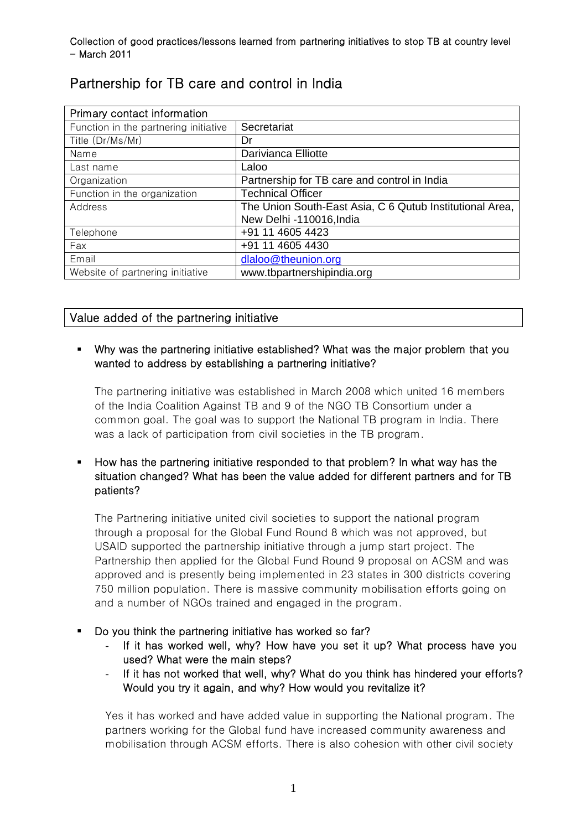| Primary contact information           |                                                          |
|---------------------------------------|----------------------------------------------------------|
| Function in the partnering initiative | Secretariat                                              |
| Title (Dr/Ms/Mr)                      | Dr                                                       |
| Name                                  | Darivianca Elliotte                                      |
| Last name                             | Laloo                                                    |
| Organization                          | Partnership for TB care and control in India             |
| Function in the organization          | <b>Technical Officer</b>                                 |
| Address                               | The Union South-East Asia, C 6 Qutub Institutional Area, |
|                                       | New Delhi -110016, India                                 |
| Telephone                             | +91 11 4605 4423                                         |
| Fax                                   | +91 11 4605 4430                                         |
| Email                                 | dlaloo@theunion.org                                      |
| Website of partnering initiative      | www.tbpartnershipindia.org                               |

# Partnership for TB care and control in India

# Value added of the partnering initiative

# Why was the partnering initiative established? What was the major problem that you wanted to address by establishing a partnering initiative?

The partnering initiative was established in March 2008 which united 16 members of the India Coalition Against TB and 9 of the NGO TB Consortium under a common goal. The goal was to support the National TB program in India. There was a lack of participation from civil societies in the TB program.

# How has the partnering initiative responded to that problem? In what way has the situation changed? What has been the value added for different partners and for TB patients?

The Partnering initiative united civil societies to support the national program through a proposal for the Global Fund Round 8 which was not approved, but USAID supported the partnership initiative through a jump start project. The Partnership then applied for the Global Fund Round 9 proposal on ACSM and was approved and is presently being implemented in 23 states in 300 districts covering 750 million population. There is massive community mobilisation efforts going on and a number of NGOs trained and engaged in the program.

- Do you think the partnering initiative has worked so far?
	- If it has worked well, why? How have you set it up? What process have you used? What were the main steps?
	- If it has not worked that well, why? What do you think has hindered your efforts? Would you try it again, and why? How would you revitalize it?

Yes it has worked and have added value in supporting the National program. The partners working for the Global fund have increased community awareness and mobilisation through ACSM efforts. There is also cohesion with other civil society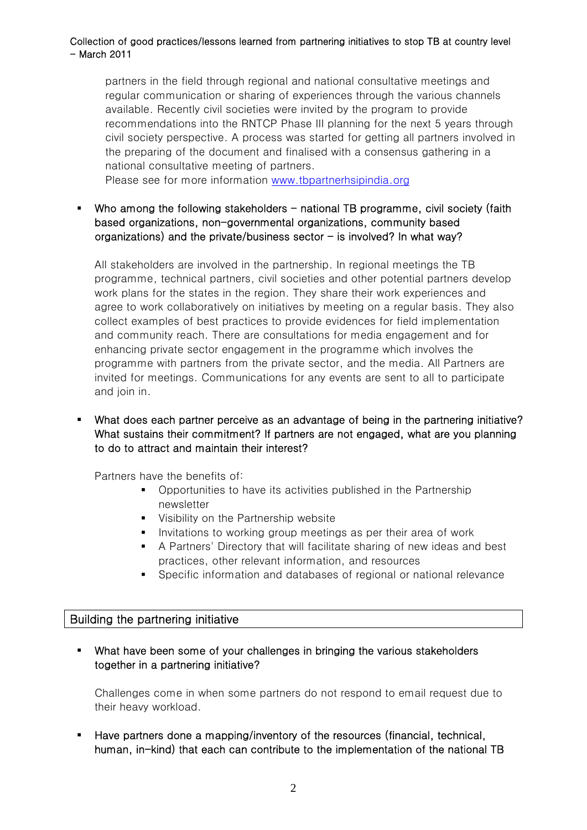#### Collection of good practices/lessons learned from partnering initiatives to stop TB at country level - March 2011

partners in the field through regional and national consultative meetings and regular communication or sharing of experiences through the various channels available. Recently civil societies were invited by the program to provide recommendations into the RNTCP Phase III planning for the next 5 years through civil society perspective. A process was started for getting all partners involved in the preparing of the document and finalised with a consensus gathering in a national consultative meeting of partners.

Please see for more information [www.tbpartnerhsipindia.org](http://www.tbpartnerhsipindia.org/)

 $\blacksquare$  Who among the following stakeholders  $\blacksquare$  national TB programme, civil society (faith based organizations, non-governmental organizations, community based organizations) and the private/business sector  $-$  is involved? In what way?

All stakeholders are involved in the partnership. In regional meetings the TB programme, technical partners, civil societies and other potential partners develop work plans for the states in the region. They share their work experiences and agree to work collaboratively on initiatives by meeting on a regular basis. They also collect examples of best practices to provide evidences for field implementation and community reach. There are consultations for media engagement and for enhancing private sector engagement in the programme which involves the programme with partners from the private sector, and the media. All Partners are invited for meetings. Communications for any events are sent to all to participate and join in.

## What does each partner perceive as an advantage of being in the partnering initiative? What sustains their commitment? If partners are not engaged, what are you planning to do to attract and maintain their interest?

Partners have the benefits of:

- **•** Opportunities to have its activities published in the Partnership newsletter
- **Visibility on the Partnership website**
- **I** Invitations to working group meetings as per their area of work
- A Partners' Directory that will facilitate sharing of new ideas and best practices, other relevant information, and resources
- Specific information and databases of regional or national relevance

#### Building the partnering initiative

 What have been some of your challenges in bringing the various stakeholders together in a partnering initiative?

Challenges come in when some partners do not respond to email request due to their heavy workload.

 Have partners done a mapping/inventory of the resources (financial, technical, human, in-kind) that each can contribute to the implementation of the national TB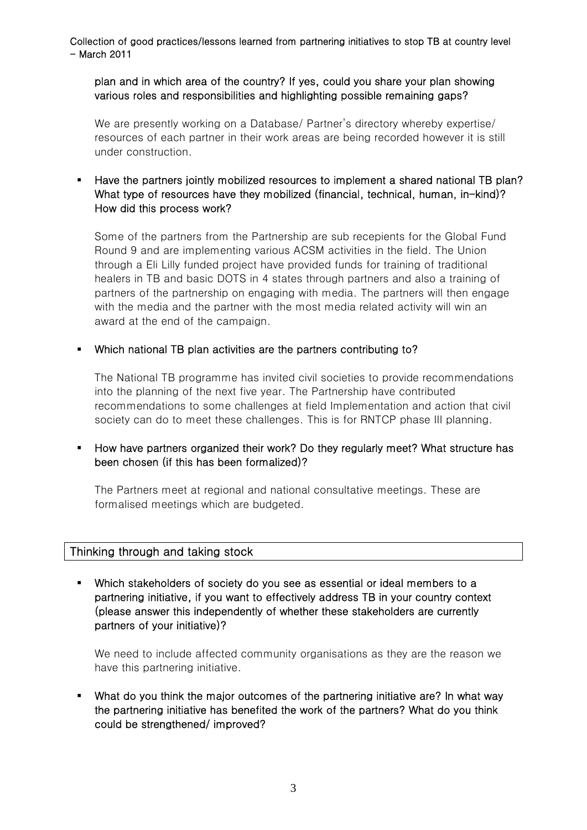Collection of good practices/lessons learned from partnering initiatives to stop TB at country level - March 2011

plan and in which area of the country? If yes, could you share your plan showing various roles and responsibilities and highlighting possible remaining gaps?

We are presently working on a Database/ Partner's directory whereby expertise/ resources of each partner in their work areas are being recorded however it is still under construction.

 Have the partners jointly mobilized resources to implement a shared national TB plan? What type of resources have they mobilized (financial, technical, human, in-kind)? How did this process work?

Some of the partners from the Partnership are sub recepients for the Global Fund Round 9 and are implementing various ACSM activities in the field. The Union through a Eli Lilly funded project have provided funds for training of traditional healers in TB and basic DOTS in 4 states through partners and also a training of partners of the partnership on engaging with media. The partners will then engage with the media and the partner with the most media related activity will win an award at the end of the campaign.

Which national TB plan activities are the partners contributing to?

The National TB programme has invited civil societies to provide recommendations into the planning of the next five year. The Partnership have contributed recommendations to some challenges at field Implementation and action that civil society can do to meet these challenges. This is for RNTCP phase III planning.

## How have partners organized their work? Do they regularly meet? What structure has been chosen (if this has been formalized)?

The Partners meet at regional and national consultative meetings. These are formalised meetings which are budgeted.

## Thinking through and taking stock

 Which stakeholders of society do you see as essential or ideal members to a partnering initiative, if you want to effectively address TB in your country context (please answer this independently of whether these stakeholders are currently partners of your initiative)?

We need to include affected community organisations as they are the reason we have this partnering initiative.

 What do you think the major outcomes of the partnering initiative are? In what way the partnering initiative has benefited the work of the partners? What do you think could be strengthened/ improved?